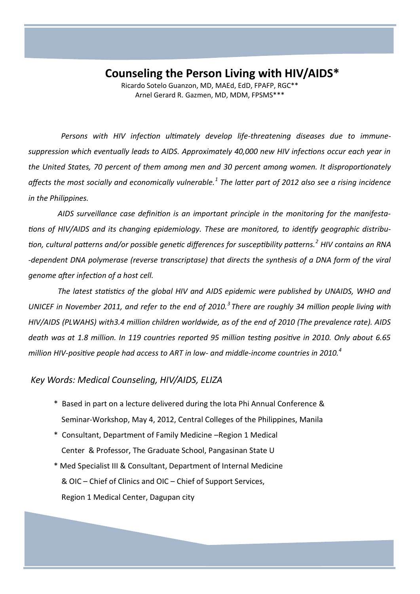# **Counseling the Person Living with HIV/AIDS\***

Ricardo Sotelo Guanzon, MD, MAEd, EdD, FPAFP, RGC\*\* Arnel Gerard R. Gazmen, MD, MDM, FPSMS\*\*\*

 *Persons with HIV infection ultimately develop life-threatening diseases due to immunesuppression which eventually leads to AIDS. Approximately 40,000 new HIV infections occur each year in the United States, 70 percent of them among men and 30 percent among women. It disproportionately affects the most socially and economically vulnerable.<sup>1</sup> The latter part of 2012 also see a rising incidence in the Philippines.*

 *AIDS surveillance case definition is an important principle in the monitoring for the manifestations of HIV/AIDS and its changing epidemiology. These are monitored, to identify geographic distribution, cultural patterns and/or possible genetic differences for susceptibility patterns.<sup>2</sup> HIV contains an RNA -dependent DNA polymerase (reverse transcriptase) that directs the synthesis of a DNA form of the viral genome after infection of a host cell.*

 *The latest statistics of the global [HIV a](http://www.avert.org/hiv.htm)nd [AIDS e](http://www.avert.org/aids.htm)pidemic were published by UNAIDS, WHO and UNICEF in November 2011, and refer to the end of 2010.<sup>3</sup>There are roughly 34 million people living with HIV/AIDS (PLWAHS) with3.4 million children worldwide, as of the end of 2010 (The prevalence rate). AIDS death was at 1.8 million. In 119 countries reported 95 million testing positive in 2010. Only about 6.65 million HIV-positive people had access to ART in low- and middle-income countries in 2010.<sup>4</sup>*

### *Key Words: Medical Counseling, HIV/AIDS, ELIZA*

- \* Based in part on a lecture delivered during the Iota Phi Annual Conference & Seminar-Workshop, May 4, 2012, Central Colleges of the Philippines, Manila
- \* Consultant, Department of Family Medicine –Region 1 Medical Center & Professor, The Graduate School, Pangasinan State U
- \* Med Specialist III & Consultant, Department of Internal Medicine & OIC – Chief of Clinics and OIC – Chief of Support Services, Region 1 Medical Center, Dagupan city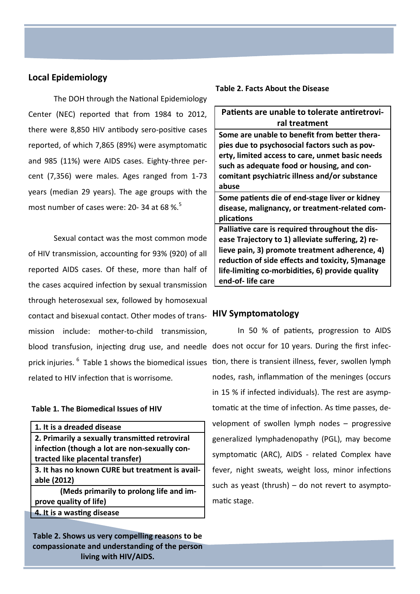# **Local Epidemiology**

The DOH through the National Epidemiology Center (NEC) reported that from 1984 to 2012, there were 8,850 HIV antibody sero-positive cases reported, of which 7,865 (89%) were asymptomatic and 985 (11%) were AIDS cases. Eighty-three percent (7,356) were males. Ages ranged from 1-73 years (median 29 years). The age groups with the most number of cases were: 20-34 at 68 %.<sup>5</sup>

Sexual contact was the most common mode of HIV transmission, accounting for 93% (920) of all reported AIDS cases. Of these, more than half of the cases acquired infection by sexual transmission through heterosexual sex, followed by homosexual contact and bisexual contact. Other modes of trans-**HIV Symptomatology** mission include: mother-to-child transmission, blood transfusion, injecting drug use, and needle does not occur for 10 years. During the first infecrelated to HIV infection that is worrisome.

#### **Table 1. The Biomedical Issues of HIV**

| 1. It is a dreaded disease                      |
|-------------------------------------------------|
| 2. Primarily a sexually transmitted retroviral  |
| infection (though a lot are non-sexually con-   |
| tracted like placental transfer)                |
| 3. It has no known CURE but treatment is avail- |
| able (2012)                                     |
| (Meds primarily to prolong life and im-         |
| prove quality of life)                          |
| 4. It is a wasting disease                      |
|                                                 |

**Table 2. Shows us very compelling reasons to be compassionate and understanding of the person living with HIV/AIDS.**

#### **Table 2. Facts About the Disease**

**Patients are unable to tolerate antiretroviral treatment Some are unable to benefit from better therapies due to psychosocial factors such as poverty, limited access to care, unmet basic needs such as adequate food or housing, and concomitant psychiatric illness and/or substance abuse Some patients die of end-stage liver or kidney disease, malignancy, or treatment-related complications Palliative care is required throughout the disease Trajectory to 1) alleviate suffering, 2) relieve pain, 3) promote treatment adherence, 4) reduction of side effects and toxicity, 5)manage life-limiting co-morbidities, 6) provide quality end-of- life care**

prick injuries. <sup>6</sup> Table 1 shows the biomedical issues tion, there is transient illness, fever, swollen lymph In 50 % of patients, progression to AIDS nodes, rash, inflammation of the meninges (occurs in 15 % if infected individuals). The rest are asymptomatic at the time of infection. As time passes, development of swollen lymph nodes – progressive generalized lymphadenopathy (PGL), may become symptomatic (ARC), AIDS - related Complex have fever, night sweats, weight loss, minor infections such as yeast (thrush) – do not revert to asymptomatic stage.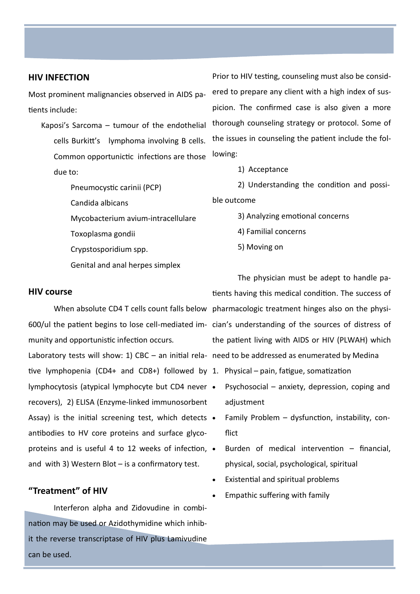### **HIV INFECTION**

Most prominent malignancies observed in AIDS patients include:

- Kaposi's Sarcoma tumour of the endothelial cells Burkitt's lymphoma involving B cells. Common opportunictic infections are those due to:
	- Pneumocystic carinii (PCP)
	- Candida albicans Mycobacterium avium-intracellulare Toxoplasma gondii
	- Crypstosporidium spp.
	- Genital and anal herpes simplex

### **HIV course**

600/ul the patient begins to lose cell-mediated im-cian's understanding of the sources of distress of munity and opportunistic infection occurs. Laboratory tests will show: 1) CBC – an initial rela-need to be addressed as enumerated by Medina tive lymphopenia (CD4+ and CD8+) followed by 1. Physical – pain, fatigue, somatization lymphocytosis (atypical lymphocyte but CD4 never recovers), 2) ELISA (Enzyme-linked immunosorbent Assay) is the initial screening test, which detects  $\bullet$ antibodies to HV core proteins and surface glycoproteins and is useful 4 to 12 weeks of infection, • and with 3) Western Blot – is a confirmatory test.

## **"Treatment" of HIV**

Interferon alpha and Zidovudine in combination may be used or Azidothymidine which inhibit the reverse transcriptase of HIV plus Lamivudine can be used.

Prior to HIV testing, counseling must also be considered to prepare any client with a high index of suspicion. The confirmed case is also given a more thorough counseling strategy or protocol. Some of the issues in counseling the patient include the following:

1) Acceptance

2) Understanding the condition and possible outcome

- 3) Analyzing emotional concerns
- 4) Familial concerns
- 5) Moving on

When absolute CD4 T cells count falls below pharmacologic treatment hinges also on the physi-The physician must be adept to handle patients having this medical condition. The success of the patient living with AIDS or HIV (PLWAH) which

- 
- Psychosocial anxiety, depression, coping and adjustment
- Family Problem dysfunction, instability, conflict
- Burden of medical intervention financial, physical, social, psychological, spiritual
- Existential and spiritual problems
- Empathic suffering with family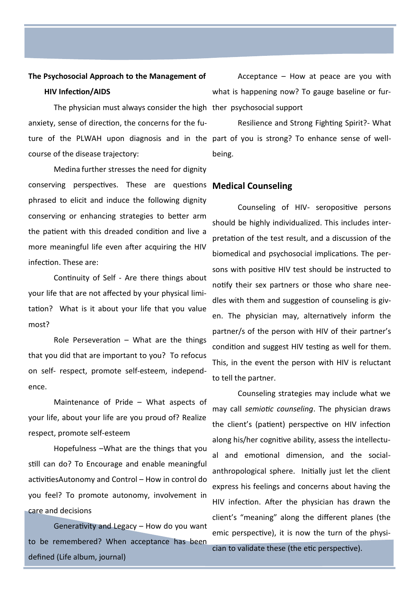# **The Psychosocial Approach to the Management of HIV Infection/AIDS**

The physician must always consider the high ther psychosocial support anxiety, sense of direction, the concerns for the future of the PLWAH upon diagnosis and in the part of you is strong? To enhance sense of wellcourse of the disease trajectory:

Medina further stresses the need for dignity conserving perspectives. These are questions **Medical Counseling** phrased to elicit and induce the following dignity conserving or enhancing strategies to better arm the patient with this dreaded condition and live a more meaningful life even after acquiring the HIV infection. These are:

Continuity of Self - Are there things about your life that are not affected by your physical limitation? What is it about your life that you value most?

Role Perseveration – What are the things that you did that are important to you? To refocus on self- respect, promote self-esteem, independence.

Maintenance of Pride – What aspects of your life, about your life are you proud of? Realize respect, promote self-esteem

Hopefulness –What are the things that you still can do? To Encourage and enable meaningful activitiesAutonomy and Control – How in control do you feel? To promote autonomy, involvement in care and decisions

Generativity and Legacy – How do you want to be remembered? When acceptance has been defined (Life album, journal)

Acceptance – How at peace are you with what is happening now? To gauge baseline or fur-

Resilience and Strong Fighting Spirit?- What being.

Counseling of HIV- seropositive persons should be highly individualized. This includes interpretation of the test result, and a discussion of the biomedical and psychosocial implications. The persons with positive HIV test should be instructed to notify their sex partners or those who share needles with them and suggestion of counseling is given. The physician may, alternatively inform the partner/s of the person with HIV of their partner's condition and suggest HIV testing as well for them. This, in the event the person with HIV is reluctant to tell the partner.

Counseling strategies may include what we may call *semiotic counseling*. The physician draws the client's (patient) perspective on HIV infection along his/her cognitive ability, assess the intellectual and emotional dimension, and the socialanthropological sphere. Initially just let the client express his feelings and concerns about having the HIV infection. After the physician has drawn the client's "meaning" along the different planes (the emic perspective), it is now the turn of the physician to validate these (the etic perspective).